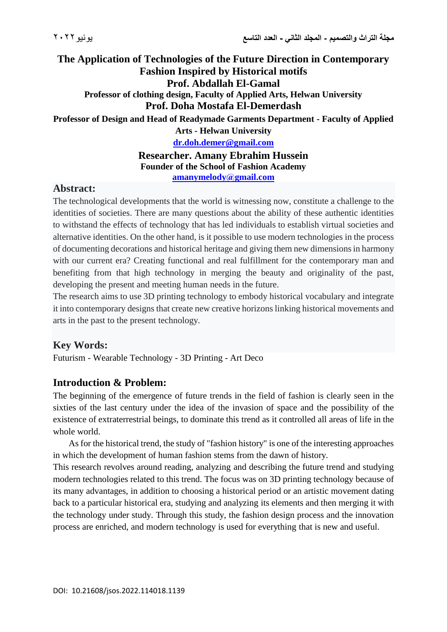# **The Application of Technologies of the Future Direction in Contemporary Fashion Inspired by Historical motifs Prof. Abdallah El-Gamal Professor of clothing design, Faculty of Applied Arts, Helwan University Prof. Doha Mostafa El-Demerdash**

**Professor of Design and Head of Readymade Garments Department - Faculty of Applied** 

**Arts - Helwan University**

**[dr.doh.demer@gmail.com](mailto:dr.doh.demer@gmail.com)**

**Researcher. Amany Ebrahim Hussein Founder of the School of Fashion Academy [amanymelody@gmail.com](mailto:amanymelody@gmail.com)**

# **Abstract:**

The technological developments that the world is witnessing now, constitute a challenge to the identities of societies. There are many questions about the ability of these authentic identities to withstand the effects of technology that has led individuals to establish virtual societies and alternative identities. On the other hand, is it possible to use modern technologies in the process of documenting decorations and historical heritage and giving them new dimensions in harmony with our current era? Creating functional and real fulfillment for the contemporary man and benefiting from that high technology in merging the beauty and originality of the past, developing the present and meeting human needs in the future.

The research aims to use 3D printing technology to embody historical vocabulary and integrate it into contemporary designs that create new creative horizons linking historical movements and arts in the past to the present technology.

# **Key Words:**

Futurism - Wearable Technology - 3D Printing - Art Deco

# **Introduction & Problem:**

The beginning of the emergence of future trends in the field of fashion is clearly seen in the sixties of the last century under the idea of the invasion of space and the possibility of the existence of extraterrestrial beings, to dominate this trend as it controlled all areas of life in the whole world.

 As for the historical trend, the study of "fashion history" is one of the interesting approaches in which the development of human fashion stems from the dawn of history.

This research revolves around reading, analyzing and describing the future trend and studying modern technologies related to this trend. The focus was on 3D printing technology because of its many advantages, in addition to choosing a historical period or an artistic movement dating back to a particular historical era, studying and analyzing its elements and then merging it with the technology under study. Through this study, the fashion design process and the innovation process are enriched, and modern technology is used for everything that is new and useful.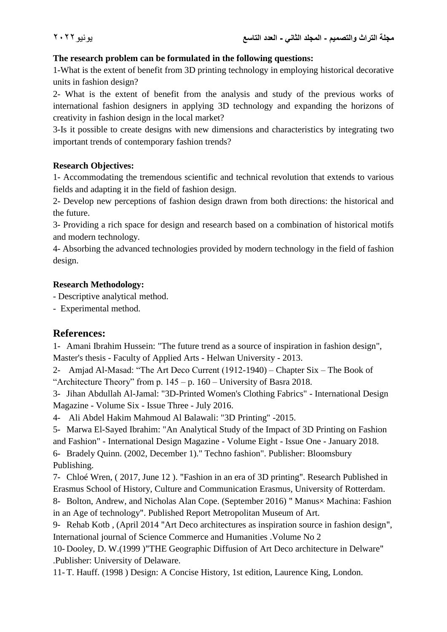### **The research problem can be formulated in the following questions:**

1-What is the extent of benefit from 3D printing technology in employing historical decorative units in fashion design?

2- What is the extent of benefit from the analysis and study of the previous works of international fashion designers in applying 3D technology and expanding the horizons of creativity in fashion design in the local market?

3-Is it possible to create designs with new dimensions and characteristics by integrating two important trends of contemporary fashion trends?

#### **Research Objectives:**

1- Accommodating the tremendous scientific and technical revolution that extends to various fields and adapting it in the field of fashion design.

2- Develop new perceptions of fashion design drawn from both directions: the historical and the future.

3- Providing a rich space for design and research based on a combination of historical motifs and modern technology.

4- Absorbing the advanced technologies provided by modern technology in the field of fashion design.

#### **Research Methodology:**

- Descriptive analytical method.

- Experimental method.

# **References:**

1- Amani Ibrahim Hussein: "The future trend as a source of inspiration in fashion design", Master's thesis - Faculty of Applied Arts - Helwan University - 2013.

2- Amjad Al-Masad: "The Art Deco Current (1912-1940) – Chapter Six – The Book of "Architecture Theory" from p.  $145 - p$ .  $160 -$ University of Basra 2018.

3- Jihan Abdullah Al-Jamal: "3D-Printed Women's Clothing Fabrics" - International Design Magazine - Volume Six - Issue Three - July 2016.

4- Ali Abdel Hakim Mahmoud Al Balawali: "3D Printing" -2015.

5- Marwa El-Sayed Ibrahim: "An Analytical Study of the Impact of 3D Printing on Fashion and Fashion" - International Design Magazine - Volume Eight - Issue One - January 2018.

6- Bradely Quinn. (2002, December 1)." Techno fashion". Publisher: Bloomsbury Publishing.

7- Chloé Wren, ( 2017, June 12 ). "Fashion in an era of 3D printing". Research Published in Erasmus School of History, Culture and Communication Erasmus, University of Rotterdam.

8- Bolton, Andrew, and Nicholas Alan Cope. (September 2016) " Manus× Machina: Fashion in an Age of technology". Published Report Metropolitan Museum of Art.

9- Rehab Kotb , (April 2014 "Art Deco architectures as inspiration source in fashion design", International journal of Science Commerce and Humanities .Volume No 2

10- Dooley, D. W.(1999 )"THE Geographic Diffusion of Art Deco architecture in Delware" .Publisher: University of Delaware.

11- T. Hauff. (1998 ) Design: A Concise History, 1st edition, Laurence King, London.